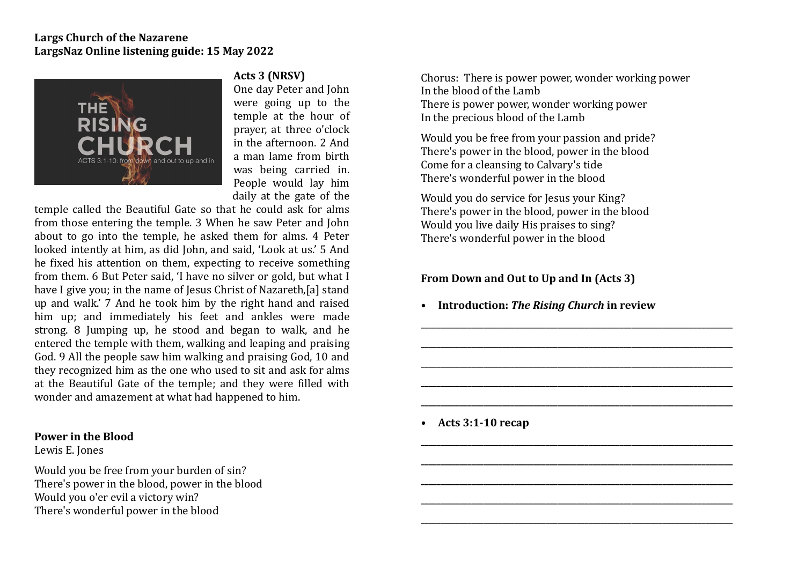## **Largs Church of the Nazarene** LargsNaz Online listening guide: 15 May 2022



## Acts 3 (NRSV)

One day Peter and John were going up to the temple at the hour of prayer, at three o'clock in the afternoon. 2 And a man lame from birth was being carried in. People would lay him daily at the gate of the

temple called the Beautiful Gate so that he could ask for alms from those entering the temple. 3 When he saw Peter and John about to go into the temple, he asked them for alms. 4 Peter looked intently at him, as did John, and said, 'Look at us.' 5 And he fixed his attention on them, expecting to receive something from them. 6 But Peter said. Thave no silver or gold, but what I have I give you; in the name of Jesus Christ of Nazareth,[a] stand up and walk.' 7 And he took him by the right hand and raised him up; and immediately his feet and ankles were made strong.  $8$  Jumping up, he stood and began to walk, and he entered the temple with them, walking and leaping and praising God. 9 All the people saw him walking and praising God. 10 and they recognized him as the one who used to sit and ask for alms at the Beautiful Gate of the temple; and they were filled with wonder and amazement at what had happened to him.

## **Power in the Blood**

Lewis E. Jones

Would you be free from your burden of sin? There's power in the blood, power in the blood Would you o'er evil a victory win? There's wonderful power in the blood

Chorus: There is power power, wonder working power In the blood of the Lamb There is power power, wonder working power In the precious blood of the Lamb

Would you be free from your passion and pride? There's power in the blood, power in the blood Come for a cleansing to Calvary's tide There's wonderful power in the blood

Would you do service for Jesus your King? There's power in the blood, power in the blood Would you live daily His praises to sing? There's wonderful power in the blood

## **From Down and Out to Up and In (Acts 3)**

**• Introduction:** *The Rising Church* **in review** 

**\_\_\_\_\_\_\_\_\_\_\_\_\_\_\_\_\_\_\_\_\_\_\_\_\_\_\_\_\_\_\_\_\_\_\_\_\_\_\_\_\_\_\_\_\_\_\_\_\_\_\_\_\_\_\_\_\_\_\_\_\_\_\_\_\_\_\_\_\_\_\_\_\_\_\_\_\_\_\_\_** 

**\_\_\_\_\_\_\_\_\_\_\_\_\_\_\_\_\_\_\_\_\_\_\_\_\_\_\_\_\_\_\_\_\_\_\_\_\_\_\_\_\_\_\_\_\_\_\_\_\_\_\_\_\_\_\_\_\_\_\_\_\_\_\_\_\_\_\_\_\_\_\_\_\_\_\_\_\_\_\_\_** 

**\_\_\_\_\_\_\_\_\_\_\_\_\_\_\_\_\_\_\_\_\_\_\_\_\_\_\_\_\_\_\_\_\_\_\_\_\_\_\_\_\_\_\_\_\_\_\_\_\_\_\_\_\_\_\_\_\_\_\_\_\_\_\_\_\_\_\_\_\_\_\_\_\_\_\_\_\_\_\_\_** 

**\_\_\_\_\_\_\_\_\_\_\_\_\_\_\_\_\_\_\_\_\_\_\_\_\_\_\_\_\_\_\_\_\_\_\_\_\_\_\_\_\_\_\_\_\_\_\_\_\_\_\_\_\_\_\_\_\_\_\_\_\_\_\_\_\_\_\_\_\_\_\_\_\_\_\_\_\_\_\_\_** 

**\_\_\_\_\_\_\_\_\_\_\_\_\_\_\_\_\_\_\_\_\_\_\_\_\_\_\_\_\_\_\_\_\_\_\_\_\_\_\_\_\_\_\_\_\_\_\_\_\_\_\_\_\_\_\_\_\_\_\_\_\_\_\_\_\_\_\_\_\_\_\_\_\_\_\_\_\_\_\_\_** 

**\_\_\_\_\_\_\_\_\_\_\_\_\_\_\_\_\_\_\_\_\_\_\_\_\_\_\_\_\_\_\_\_\_\_\_\_\_\_\_\_\_\_\_\_\_\_\_\_\_\_\_\_\_\_\_\_\_\_\_\_\_\_\_\_\_\_\_\_\_\_\_\_\_\_\_\_\_\_\_\_** 

**\_\_\_\_\_\_\_\_\_\_\_\_\_\_\_\_\_\_\_\_\_\_\_\_\_\_\_\_\_\_\_\_\_\_\_\_\_\_\_\_\_\_\_\_\_\_\_\_\_\_\_\_\_\_\_\_\_\_\_\_\_\_\_\_\_\_\_\_\_\_\_\_\_\_\_\_\_\_\_\_** 

**\_\_\_\_\_\_\_\_\_\_\_\_\_\_\_\_\_\_\_\_\_\_\_\_\_\_\_\_\_\_\_\_\_\_\_\_\_\_\_\_\_\_\_\_\_\_\_\_\_\_\_\_\_\_\_\_\_\_\_\_\_\_\_\_\_\_\_\_\_\_\_\_\_\_\_\_\_\_\_\_**

**\_\_\_\_\_\_\_\_\_\_\_\_\_\_\_\_\_\_\_\_\_\_\_\_\_\_\_\_\_\_\_\_\_\_\_\_\_\_\_\_\_\_\_\_\_\_\_\_\_\_\_\_\_\_\_\_\_\_\_\_\_\_\_\_\_\_\_\_\_\_\_\_\_\_\_\_\_\_\_\_** 

**\_\_\_\_\_\_\_\_\_\_\_\_\_\_\_\_\_\_\_\_\_\_\_\_\_\_\_\_\_\_\_\_\_\_\_\_\_\_\_\_\_\_\_\_\_\_\_\_\_\_\_\_\_\_\_\_\_\_\_\_\_\_\_\_\_\_\_\_\_\_\_\_\_\_\_\_\_\_\_\_** 

**• Acts 3:1-10 recap**